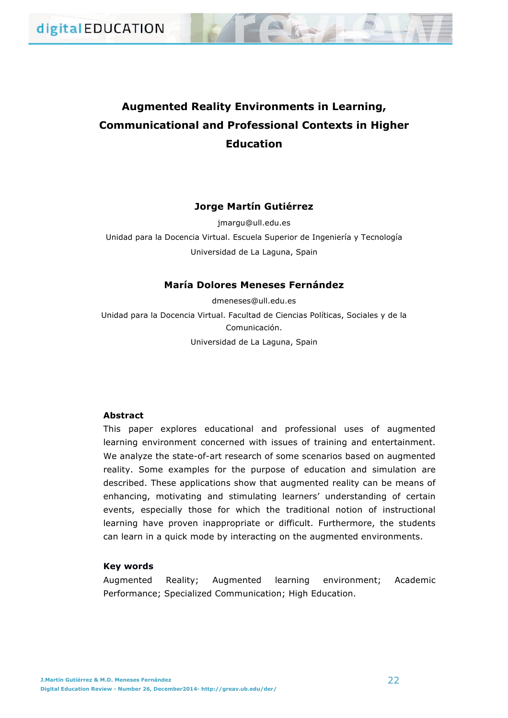# **Augmented Reality Environments in Learning, Communicational and Professional Contexts in Higher Education**

# **Jorge Martín Gutiérrez**

jmargu@ull.edu.es Unidad para la Docencia Virtual. Escuela Superior de Ingeniería y Tecnología Universidad de La Laguna, Spain

# **María Dolores Meneses Fernández**

dmeneses@ull.edu.es Unidad para la Docencia Virtual. Facultad de Ciencias Políticas, Sociales y de la Comunicación. Universidad de La Laguna, Spain

# **Abstract**

This paper explores educational and professional uses of augmented learning environment concerned with issues of training and entertainment. We analyze the state-of-art research of some scenarios based on augmented reality. Some examples for the purpose of education and simulation are described. These applications show that augmented reality can be means of enhancing, motivating and stimulating learners' understanding of certain events, especially those for which the traditional notion of instructional learning have proven inappropriate or difficult. Furthermore, the students can learn in a quick mode by interacting on the augmented environments.

# **Key words**

Augmented Reality; Augmented learning environment; Academic Performance; Specialized Communication; High Education.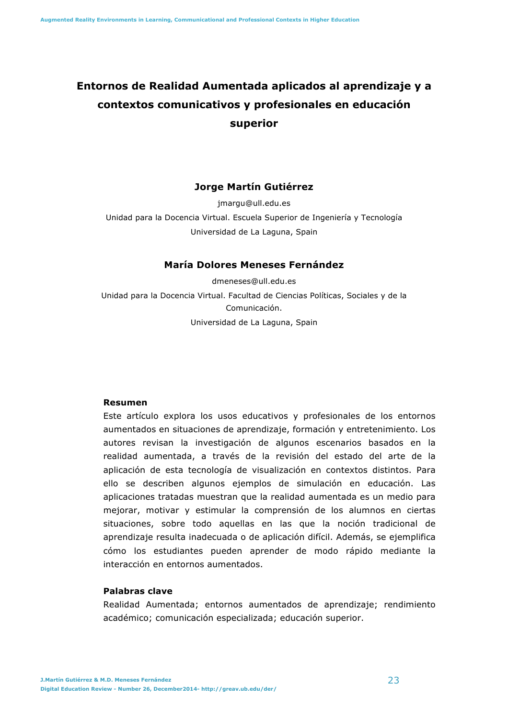# **Entornos de Realidad Aumentada aplicados al aprendizaje y a contextos comunicativos y profesionales en educación superior**

# **Jorge Martín Gutiérrez**

jmargu@ull.edu.es

Unidad para la Docencia Virtual. Escuela Superior de Ingeniería y Tecnología Universidad de La Laguna, Spain

# **María Dolores Meneses Fernández**

dmeneses@ull.edu.es Unidad para la Docencia Virtual. Facultad de Ciencias Políticas, Sociales y de la Comunicación. Universidad de La Laguna, Spain

## **Resumen**

Este artículo explora los usos educativos y profesionales de los entornos aumentados en situaciones de aprendizaje, formación y entretenimiento. Los autores revisan la investigación de algunos escenarios basados en la realidad aumentada, a través de la revisión del estado del arte de la aplicación de esta tecnología de visualización en contextos distintos. Para ello se describen algunos ejemplos de simulación en educación. Las aplicaciones tratadas muestran que la realidad aumentada es un medio para mejorar, motivar y estimular la comprensión de los alumnos en ciertas situaciones, sobre todo aquellas en las que la noción tradicional de aprendizaje resulta inadecuada o de aplicación difícil. Además, se ejemplifica cómo los estudiantes pueden aprender de modo rápido mediante la interacción en entornos aumentados.

## **Palabras clave**

Realidad Aumentada; entornos aumentados de aprendizaje; rendimiento académico; comunicación especializada; educación superior.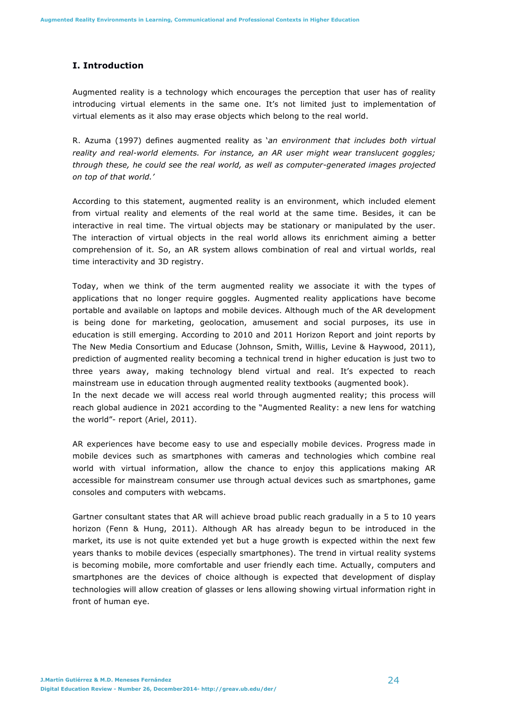# **I. Introduction**

Augmented reality is a technology which encourages the perception that user has of reality introducing virtual elements in the same one. It's not limited just to implementation of virtual elements as it also may erase objects which belong to the real world.

R. Azuma (1997) defines augmented reality as '*an environment that includes both virtual reality and real-world elements. For instance, an AR user might wear translucent goggles; through these, he could see the real world, as well as computer-generated images projected on top of that world.'*

According to this statement, augmented reality is an environment, which included element from virtual reality and elements of the real world at the same time. Besides, it can be interactive in real time. The virtual objects may be stationary or manipulated by the user. The interaction of virtual objects in the real world allows its enrichment aiming a better comprehension of it. So, an AR system allows combination of real and virtual worlds, real time interactivity and 3D registry.

Today, when we think of the term augmented reality we associate it with the types of applications that no longer require goggles. Augmented reality applications have become portable and available on laptops and mobile devices. Although much of the AR development is being done for marketing, geolocation, amusement and social purposes, its use in education is still emerging. According to 2010 and 2011 Horizon Report and joint reports by The New Media Consortium and Educase (Johnson, Smith, Willis, Levine & Haywood, 2011), prediction of augmented reality becoming a technical trend in higher education is just two to three years away, making technology blend virtual and real. It's expected to reach mainstream use in education through augmented reality textbooks (augmented book).

In the next decade we will access real world through augmented reality; this process will reach global audience in 2021 according to the "Augmented Reality: a new lens for watching the world"- report (Ariel, 2011).

AR experiences have become easy to use and especially mobile devices. Progress made in mobile devices such as smartphones with cameras and technologies which combine real world with virtual information, allow the chance to enjoy this applications making AR accessible for mainstream consumer use through actual devices such as smartphones, game consoles and computers with webcams.

Gartner consultant states that AR will achieve broad public reach gradually in a 5 to 10 years horizon (Fenn & Hung, 2011). Although AR has already begun to be introduced in the market, its use is not quite extended yet but a huge growth is expected within the next few years thanks to mobile devices (especially smartphones). The trend in virtual reality systems is becoming mobile, more comfortable and user friendly each time. Actually, computers and smartphones are the devices of choice although is expected that development of display technologies will allow creation of glasses or lens allowing showing virtual information right in front of human eye.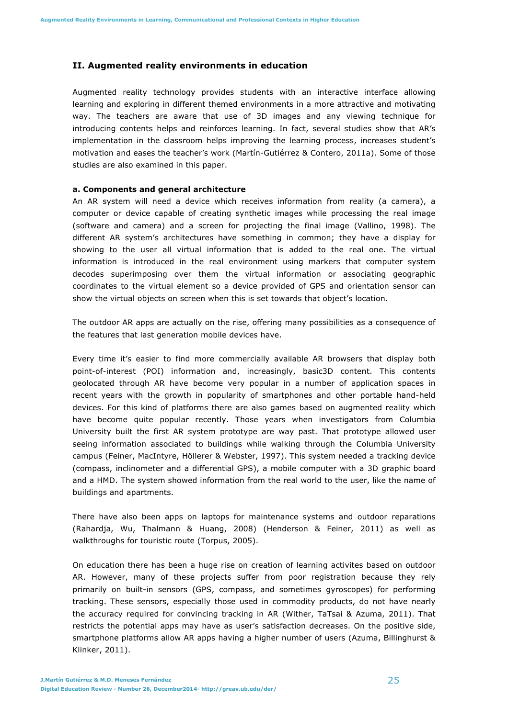## **II. Augmented reality environments in education**

Augmented reality technology provides students with an interactive interface allowing learning and exploring in different themed environments in a more attractive and motivating way. The teachers are aware that use of 3D images and any viewing technique for introducing contents helps and reinforces learning. In fact, several studies show that AR's implementation in the classroom helps improving the learning process, increases student's motivation and eases the teacher's work (Martín-Gutiérrez & Contero, 2011a). Some of those studies are also examined in this paper.

#### **a. Components and general architecture**

An AR system will need a device which receives information from reality (a camera), a computer or device capable of creating synthetic images while processing the real image (software and camera) and a screen for projecting the final image (Vallino, 1998). The different AR system's architectures have something in common; they have a display for showing to the user all virtual information that is added to the real one. The virtual information is introduced in the real environment using markers that computer system decodes superimposing over them the virtual information or associating geographic coordinates to the virtual element so a device provided of GPS and orientation sensor can show the virtual objects on screen when this is set towards that object's location.

The outdoor AR apps are actually on the rise, offering many possibilities as a consequence of the features that last generation mobile devices have.

Every time it's easier to find more commercially available AR browsers that display both point-of-interest (POI) information and, increasingly, basic3D content. This contents geolocated through AR have become very popular in a number of application spaces in recent years with the growth in popularity of smartphones and other portable hand-held devices. For this kind of platforms there are also games based on augmented reality which have become quite popular recently. Those years when investigators from Columbia University built the first AR system prototype are way past. That prototype allowed user seeing information associated to buildings while walking through the Columbia University campus (Feiner, MacIntyre, Höllerer & Webster, 1997). This system needed a tracking device (compass, inclinometer and a differential GPS), a mobile computer with a 3D graphic board and a HMD. The system showed information from the real world to the user, like the name of buildings and apartments.

There have also been apps on laptops for maintenance systems and outdoor reparations (Rahardja, Wu, Thalmann & Huang, 2008) (Henderson & Feiner, 2011) as well as walkthroughs for touristic route (Torpus, 2005).

On education there has been a huge rise on creation of learning activites based on outdoor AR. However, many of these projects suffer from poor registration because they rely primarily on built-in sensors (GPS, compass, and sometimes gyroscopes) for performing tracking. These sensors, especially those used in commodity products, do not have nearly the accuracy required for convincing tracking in AR (Wither, TaTsai & Azuma, 2011). That restricts the potential apps may have as user's satisfaction decreases. On the positive side, smartphone platforms allow AR apps having a higher number of users (Azuma, Billinghurst & Klinker, 2011).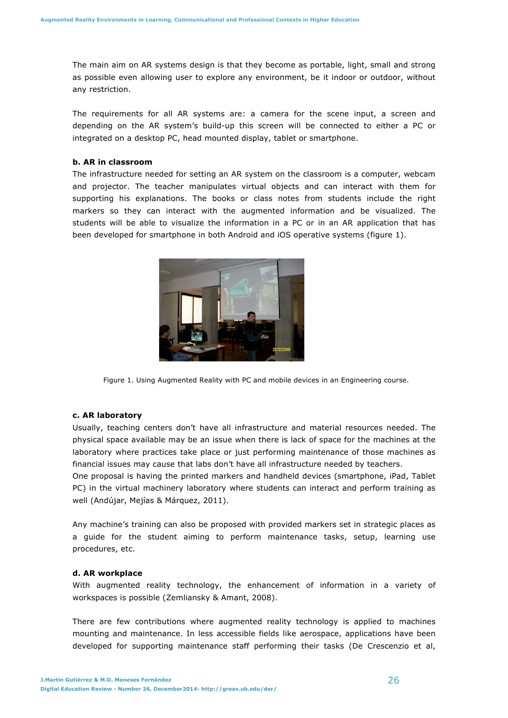The main aim on AR systems design is that they become as portable, light, small and strong as possible even allowing user to explore any environment, be it indoor or outdoor, without any restriction.

The requirements for all AR systems are: a camera for the scene input, a screen and depending on the AR system's build-up this screen will be connected to either a PC or integrated on a desktop PC, head mounted display, tablet or smartphone.

## **b. AR in classroom**

The infrastructure needed for setting an AR system on the classroom is a computer, webcam and projector. The teacher manipulates virtual objects and can interact with them for supporting his explanations. The books or class notes from students include the right markers so they can interact with the augmented information and be visualized. The students will be able to visualize the information in a PC or in an AR application that has been developed for smartphone in both Android and iOS operative systems (figure 1).



Figure 1. Using Augmented Reality with PC and mobile devices in an Engineering course.

#### **c. AR laboratory**

Usually, teaching centers don't have all infrastructure and material resources needed. The physical space available may be an issue when there is lack of space for the machines at the laboratory where practices take place or just performing maintenance of those machines as financial issues may cause that labs don't have all infrastructure needed by teachers.

One proposal is having the printed markers and handheld devices (smartphone, iPad, Tablet PC) in the virtual machinery laboratory where students can interact and perform training as well (Andújar, Mejías & Márquez, 2011).

Any machine's training can also be proposed with provided markers set in strategic places as a guide for the student aiming to perform maintenance tasks, setup, learning use procedures, etc.

#### **d. AR workplace**

With augmented reality technology, the enhancement of information in a variety of workspaces is possible (Zemliansky & Amant, 2008).

There are few contributions where augmented reality technology is applied to machines mounting and maintenance. In less accessible fields like aerospace, applications have been developed for supporting maintenance staff performing their tasks (De Crescenzio et al,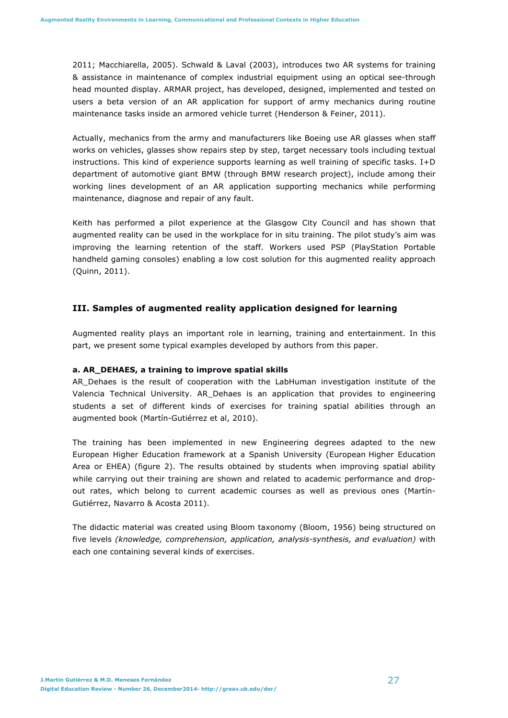2011; Macchiarella, 2005). Schwald & Laval (2003), introduces two AR systems for training & assistance in maintenance of complex industrial equipment using an optical see-through head mounted display. ARMAR project, has developed, designed, implemented and tested on users a beta version of an AR application for support of army mechanics during routine maintenance tasks inside an armored vehicle turret (Henderson & Feiner, 2011).

Actually, mechanics from the army and manufacturers like Boeing use AR glasses when staff works on vehicles, glasses show repairs step by step, target necessary tools including textual instructions. This kind of experience supports learning as well training of specific tasks. I+D department of automotive giant BMW (through BMW research project), include among their working lines development of an AR application supporting mechanics while performing maintenance, diagnose and repair of any fault.

Keith has performed a pilot experience at the Glasgow City Council and has shown that augmented reality can be used in the workplace for in situ training. The pilot study's aim was improving the learning retention of the staff. Workers used PSP (PlayStation Portable handheld gaming consoles) enabling a low cost solution for this augmented reality approach (Quinn, 2011).

## **III. Samples of augmented reality application designed for learning**

Augmented reality plays an important role in learning, training and entertainment. In this part, we present some typical examples developed by authors from this paper.

## **a. AR\_DEHAES, a training to improve spatial skills**

AR\_Dehaes is the result of cooperation with the LabHuman investigation institute of the Valencia Technical University. AR\_Dehaes is an application that provides to engineering students a set of different kinds of exercises for training spatial abilities through an augmented book (Martín-Gutiérrez et al, 2010).

The training has been implemented in new Engineering degrees adapted to the new European Higher Education framework at a Spanish University (European Higher Education Area or EHEA) (figure 2). The results obtained by students when improving spatial ability while carrying out their training are shown and related to academic performance and dropout rates, which belong to current academic courses as well as previous ones (Martín-Gutiérrez, Navarro & Acosta 2011).

The didactic material was created using Bloom taxonomy (Bloom, 1956) being structured on five levels *(knowledge, comprehension, application, analysis-synthesis, and evaluation)* with each one containing several kinds of exercises.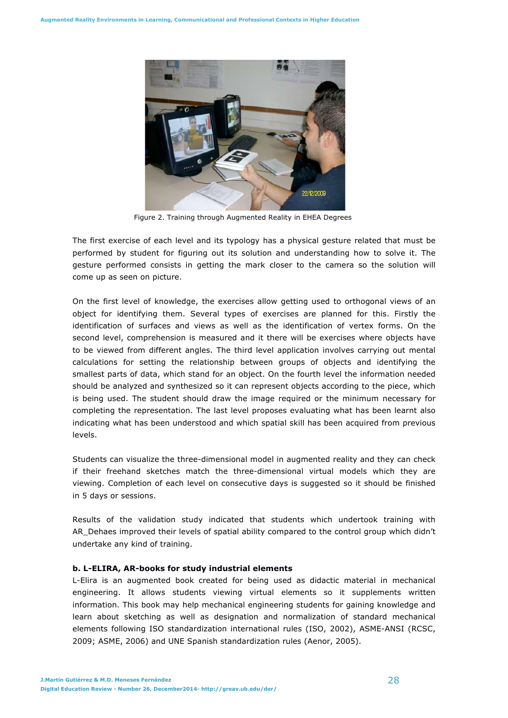

Figure 2. Training through Augmented Reality in EHEA Degrees

The first exercise of each level and its typology has a physical gesture related that must be performed by student for figuring out its solution and understanding how to solve it. The gesture performed consists in getting the mark closer to the camera so the solution will come up as seen on picture.

On the first level of knowledge, the exercises allow getting used to orthogonal views of an object for identifying them. Several types of exercises are planned for this. Firstly the identification of surfaces and views as well as the identification of vertex forms. On the second level, comprehension is measured and it there will be exercises where objects have to be viewed from different angles. The third level application involves carrying out mental calculations for setting the relationship between groups of objects and identifying the smallest parts of data, which stand for an object. On the fourth level the information needed should be analyzed and synthesized so it can represent objects according to the piece, which is being used. The student should draw the image required or the minimum necessary for completing the representation. The last level proposes evaluating what has been learnt also indicating what has been understood and which spatial skill has been acquired from previous levels.

Students can visualize the three-dimensional model in augmented reality and they can check if their freehand sketches match the three-dimensional virtual models which they are viewing. Completion of each level on consecutive days is suggested so it should be finished in 5 days or sessions.

Results of the validation study indicated that students which undertook training with AR Dehaes improved their levels of spatial ability compared to the control group which didn't undertake any kind of training.

## **b. L-ELIRA, AR-books for study industrial elements**

L-Elira is an augmented book created for being used as didactic material in mechanical engineering. It allows students viewing virtual elements so it supplements written information. This book may help mechanical engineering students for gaining knowledge and learn about sketching as well as designation and normalization of standard mechanical elements following ISO standardization international rules (ISO, 2002), ASME-ANSI (RCSC, 2009; ASME, 2006) and UNE Spanish standardization rules (Aenor, 2005).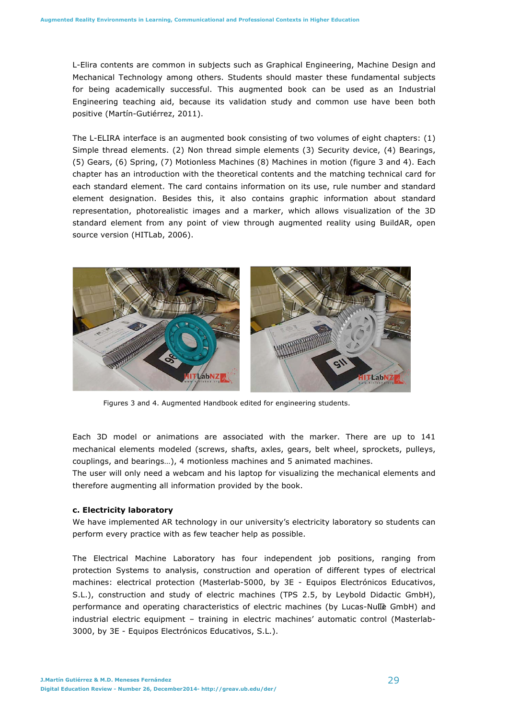L-Elira contents are common in subjects such as Graphical Engineering, Machine Design and Mechanical Technology among others. Students should master these fundamental subjects for being academically successful. This augmented book can be used as an Industrial Engineering teaching aid, because its validation study and common use have been both positive (Martín-Gutiérrez, 2011).

The L-ELIRA interface is an augmented book consisting of two volumes of eight chapters: (1) Simple thread elements. (2) Non thread simple elements (3) Security device, (4) Bearings, (5) Gears, (6) Spring, (7) Motionless Machines (8) Machines in motion (figure 3 and 4). Each chapter has an introduction with the theoretical contents and the matching technical card for each standard element. The card contains information on its use, rule number and standard element designation. Besides this, it also contains graphic information about standard representation, photorealistic images and a marker, which allows visualization of the 3D standard element from any point of view through augmented reality using BuildAR, open source version (HITLab, 2006).



Figures 3 and 4. Augmented Handbook edited for engineering students.

Each 3D model or animations are associated with the marker. There are up to 141 mechanical elements modeled (screws, shafts, axles, gears, belt wheel, sprockets, pulleys, couplings, and bearings…), 4 motionless machines and 5 animated machines.

The user will only need a webcam and his laptop for visualizing the mechanical elements and therefore augmenting all information provided by the book.

# **c. Electricity laboratory**

We have implemented AR technology in our university's electricity laboratory so students can perform every practice with as few teacher help as possible.

The Electrical Machine Laboratory has four independent job positions, ranging from protection Systems to analysis, construction and operation of different types of electrical machines: electrical protection (Masterlab-5000, by 3E - Equipos Electrónicos Educativos, S.L.), construction and study of electric machines (TPS 2.5, by Leybold Didactic GmbH), performance and operating characteristics of electric machines (by Lucas-Nulle GmbH) and industrial electric equipment – training in electric machines' automatic control (Masterlab-3000, by 3E - Equipos Electrónicos Educativos, S.L.).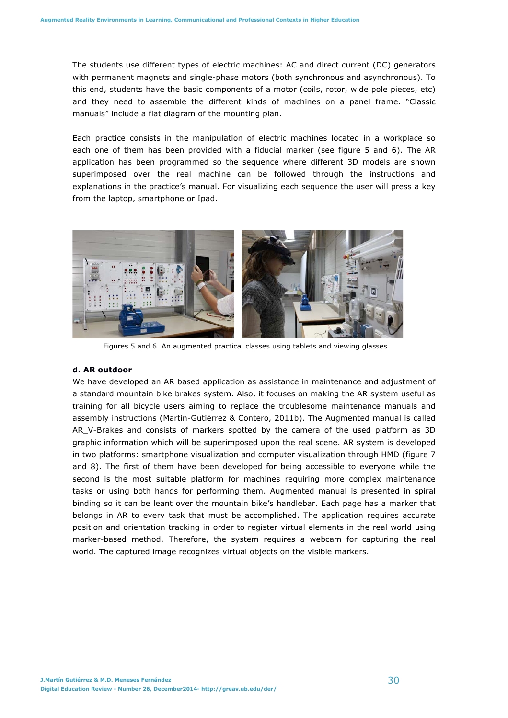The students use different types of electric machines: AC and direct current (DC) generators with permanent magnets and single-phase motors (both synchronous and asynchronous). To this end, students have the basic components of a motor (coils, rotor, wide pole pieces, etc) and they need to assemble the different kinds of machines on a panel frame. "Classic manuals" include a flat diagram of the mounting plan.

Each practice consists in the manipulation of electric machines located in a workplace so each one of them has been provided with a fiducial marker (see figure 5 and 6). The AR application has been programmed so the sequence where different 3D models are shown superimposed over the real machine can be followed through the instructions and explanations in the practice's manual. For visualizing each sequence the user will press a key from the laptop, smartphone or Ipad.



Figures 5 and 6. An augmented practical classes using tablets and viewing glasses.

## **d. AR outdoor**

We have developed an AR based application as assistance in maintenance and adjustment of a standard mountain bike brakes system. Also, it focuses on making the AR system useful as training for all bicycle users aiming to replace the troublesome maintenance manuals and assembly instructions (Martín-Gutiérrez & Contero, 2011b). The Augmented manual is called AR\_V-Brakes and consists of markers spotted by the camera of the used platform as 3D graphic information which will be superimposed upon the real scene. AR system is developed in two platforms: smartphone visualization and computer visualization through HMD (figure 7 and 8). The first of them have been developed for being accessible to everyone while the second is the most suitable platform for machines requiring more complex maintenance tasks or using both hands for performing them. Augmented manual is presented in spiral binding so it can be leant over the mountain bike's handlebar. Each page has a marker that belongs in AR to every task that must be accomplished. The application requires accurate position and orientation tracking in order to register virtual elements in the real world using marker-based method. Therefore, the system requires a webcam for capturing the real world. The captured image recognizes virtual objects on the visible markers.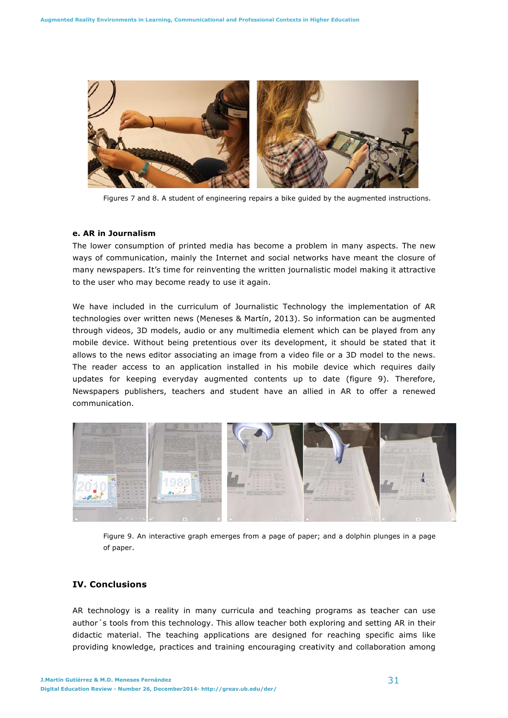

Figures 7 and 8. A student of engineering repairs a bike guided by the augmented instructions.

#### **e. AR in Journalism**

The lower consumption of printed media has become a problem in many aspects. The new ways of communication, mainly the Internet and social networks have meant the closure of many newspapers. It's time for reinventing the written journalistic model making it attractive to the user who may become ready to use it again.

We have included in the curriculum of Journalistic Technology the implementation of AR technologies over written news (Meneses & Martín, 2013). So information can be augmented through videos, 3D models, audio or any multimedia element which can be played from any mobile device. Without being pretentious over its development, it should be stated that it allows to the news editor associating an image from a video file or a 3D model to the news. The reader access to an application installed in his mobile device which requires daily updates for keeping everyday augmented contents up to date (figure 9). Therefore, Newspapers publishers, teachers and student have an allied in AR to offer a renewed communication.



Figure 9. An interactive graph emerges from a page of paper; and a dolphin plunges in a page of paper.

# **IV. Conclusions**

AR technology is a reality in many curricula and teaching programs as teacher can use author´s tools from this technology. This allow teacher both exploring and setting AR in their didactic material. The teaching applications are designed for reaching specific aims like providing knowledge, practices and training encouraging creativity and collaboration among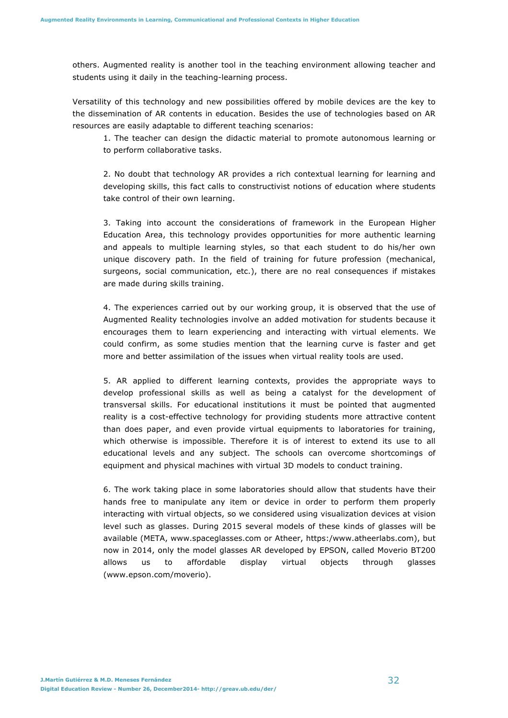others. Augmented reality is another tool in the teaching environment allowing teacher and students using it daily in the teaching-learning process.

Versatility of this technology and new possibilities offered by mobile devices are the key to the dissemination of AR contents in education. Besides the use of technologies based on AR resources are easily adaptable to different teaching scenarios:

1. The teacher can design the didactic material to promote autonomous learning or to perform collaborative tasks.

2. No doubt that technology AR provides a rich contextual learning for learning and developing skills, this fact calls to constructivist notions of education where students take control of their own learning.

3. Taking into account the considerations of framework in the European Higher Education Area, this technology provides opportunities for more authentic learning and appeals to multiple learning styles, so that each student to do his/her own unique discovery path. In the field of training for future profession (mechanical, surgeons, social communication, etc.), there are no real consequences if mistakes are made during skills training.

4. The experiences carried out by our working group, it is observed that the use of Augmented Reality technologies involve an added motivation for students because it encourages them to learn experiencing and interacting with virtual elements. We could confirm, as some studies mention that the learning curve is faster and get more and better assimilation of the issues when virtual reality tools are used.

5. AR applied to different learning contexts, provides the appropriate ways to develop professional skills as well as being a catalyst for the development of transversal skills. For educational institutions it must be pointed that augmented reality is a cost-effective technology for providing students more attractive content than does paper, and even provide virtual equipments to laboratories for training, which otherwise is impossible. Therefore it is of interest to extend its use to all educational levels and any subject. The schools can overcome shortcomings of equipment and physical machines with virtual 3D models to conduct training.

6. The work taking place in some laboratories should allow that students have their hands free to manipulate any item or device in order to perform them properly interacting with virtual objects, so we considered using visualization devices at vision level such as glasses. During 2015 several models of these kinds of glasses will be available (META, www.spaceglasses.com or Atheer, https:/www.atheerlabs.com), but now in 2014, only the model glasses AR developed by EPSON, called Moverio BT200 allows us to affordable display virtual objects through glasses (www.epson.com/moverio).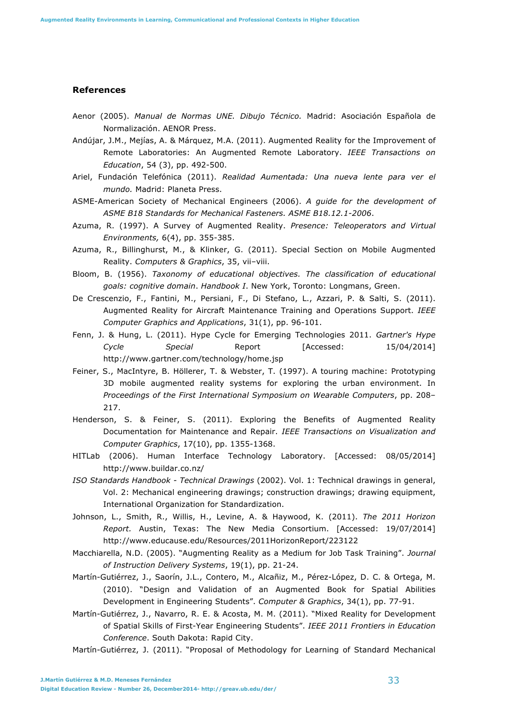## **References**

- Aenor (2005). *Manual de Normas UNE. Dibujo Técnico.* Madrid: Asociación Española de Normalización. AENOR Press.
- Andújar, J.M., Mejías, A. & Márquez, M.A. (2011). Augmented Reality for the Improvement of Remote Laboratories: An Augmented Remote Laboratory. *IEEE Transactions on Education*, 54 (3), pp. 492-500.
- Ariel, Fundación Telefónica (2011). *Realidad Aumentada: Una nueva lente para ver el mundo.* Madrid: Planeta Press.
- ASME-American Society of Mechanical Engineers (2006). *A guide for the development of ASME B18 Standards for Mechanical Fasteners. ASME B18.12.1-2006*.
- Azuma, R. (1997). A Survey of Augmented Reality. *Presence: Teleoperators and Virtual Environments,* 6(4), pp. 355-385.
- Azuma, R., Billinghurst, M., & Klinker, G. (2011). Special Section on Mobile Augmented Reality. *Computers & Graphics*, 35, vii–viii.
- Bloom, B. (1956). *Taxonomy of educational objectives. The classification of educational goals: cognitive domain*. *Handbook I*. New York, Toronto: Longmans, Green.
- De Crescenzio, F., Fantini, M., Persiani, F., Di Stefano, L., Azzari, P. & Salti, S. (2011). Augmented Reality for Aircraft Maintenance Training and Operations Support. *IEEE Computer Graphics and Applications*, 31(1), pp. 96-101.
- Fenn, J. & Hung, L. (2011). Hype Cycle for Emerging Technologies 2011. *Gartner's Hype Cycle Special* Report [Accessed: 15/04/2014] http://www.gartner.com/technology/home.jsp
- Feiner, S., MacIntyre, B. Höllerer, T. & Webster, T. (1997). A touring machine: Prototyping 3D mobile augmented reality systems for exploring the urban environment. In *Proceedings of the First International Symposium on Wearable Computers*, pp. 208– 217.
- Henderson, S. & Feiner, S. (2011). Exploring the Benefits of Augmented Reality Documentation for Maintenance and Repair. *IEEE Transactions on Visualization and Computer Graphics*, 17(10), pp. 1355-1368.
- HITLab (2006). Human Interface Technology Laboratory. [Accessed: 08/05/2014] http://www.buildar.co.nz/
- *ISO Standards Handbook Technical Drawings* (2002). Vol. 1: Technical drawings in general, Vol. 2: Mechanical engineering drawings; construction drawings; drawing equipment, International Organization for Standardization.
- Johnson, L., Smith, R., Willis, H., Levine, A. & Haywood, K. (2011). *The 2011 Horizon Report.* Austin, Texas: The New Media Consortium. [Accessed: 19/07/2014] http://www.educause.edu/Resources/2011HorizonReport/223122
- Macchiarella, N.D. (2005). "Augmenting Reality as a Medium for Job Task Training". *Journal of Instruction Delivery Systems*, 19(1), pp. 21-24.
- Martín-Gutiérrez, J., Saorín, J.L., Contero, M., Alcañiz, M., Pérez-López, D. C. & Ortega, M. (2010). "Design and Validation of an Augmented Book for Spatial Abilities Development in Engineering Students". *Computer & Graphics*, 34(1), pp. 77-91.
- Martín-Gutiérrez, J., Navarro, R. E. & Acosta, M. M. (2011). "Mixed Reality for Development of Spatial Skills of First-Year Engineering Students". *IEEE 2011 Frontiers in Education Conference*. South Dakota: Rapid City.
- Martín-Gutiérrez, J. (2011). "Proposal of Methodology for Learning of Standard Mechanical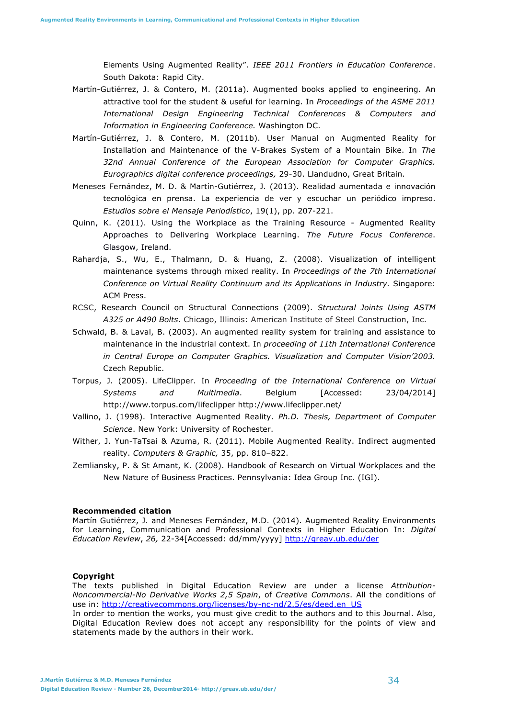Elements Using Augmented Reality". *IEEE 2011 Frontiers in Education Conference*. South Dakota: Rapid City.

- Martín-Gutiérrez, J. & Contero, M. (2011a). Augmented books applied to engineering. An attractive tool for the student & useful for learning. In *Proceedings of the ASME 2011 International Design Engineering Technical Conferences & Computers and Information in Engineering Conference.* Washington DC.
- Martín-Gutiérrez, J. & Contero, M. (2011b). User Manual on Augmented Reality for Installation and Maintenance of the V-Brakes System of a Mountain Bike. In *The 32nd Annual Conference of the European Association for Computer Graphics. Eurographics digital conference proceedings,* 29-30. Llandudno, Great Britain.
- Meneses Fernández, M. D. & Martín-Gutiérrez, J. (2013). Realidad aumentada e innovación tecnológica en prensa. La experiencia de ver y escuchar un periódico impreso. *Estudios sobre el Mensaje Periodístico*, 19(1), pp. 207-221.
- Quinn, K. (2011). Using the Workplace as the Training Resource Augmented Reality Approaches to Delivering Workplace Learning. *The Future Focus Conference*. Glasgow, Ireland.
- Rahardja, S., Wu, E., Thalmann, D. & Huang, Z. (2008). Visualization of intelligent maintenance systems through mixed reality. In *Proceedings of the 7th International Conference on Virtual Reality Continuum and its Applications in Industry.* Singapore: ACM Press.
- RCSC, Research Council on Structural Connections (2009). *Structural Joints Using ASTM A325 or A490 Bolts*. Chicago, Illinois: American Institute of Steel Construction, Inc.
- Schwald, B. & Laval, B. (2003). An augmented reality system for training and assistance to maintenance in the industrial context. In *proceeding of 11th International Conference in Central Europe on Computer Graphics. Visualization and Computer Vision'2003.* Czech Republic.
- Torpus, J. (2005). LifeClipper. In *Proceeding of the International Conference on Virtual Systems and Multimedia*. Belgium [Accessed: 23/04/2014] http://www.torpus.com/lifeclipper http://www.lifeclipper.net/
- Vallino, J. (1998). Interactive Augmented Reality. *Ph.D. Thesis, Department of Computer Science*. New York: University of Rochester.
- Wither, J. Yun-TaTsai & Azuma, R. (2011). Mobile Augmented Reality. Indirect augmented reality. *Computers & Graphic,* 35, pp. 810–822.
- Zemliansky, P. & St Amant, K. (2008). Handbook of Research on Virtual Workplaces and the New Nature of Business Practices. Pennsylvania: Idea Group Inc. (IGI).

#### **Recommended citation**

Martín Gutiérrez, J. and Meneses Fernández, M.D. (2014). Augmented Reality Environments for Learning, Communication and Professional Contexts in Higher Education In: *Digital Education Review*, *26,* 22-34[Accessed: dd/mm/yyyy] http://greav.ub.edu/der

#### **Copyright**

The texts published in Digital Education Review are under a license *Attribution-Noncommercial-No Derivative Works 2,5 Spain*, of *Creative Commons*. All the conditions of use in: http://creativecommons.org/licenses/by-nc-nd/2.5/es/deed.en\_US

In order to mention the works, you must give credit to the authors and to this Journal. Also, Digital Education Review does not accept any responsibility for the points of view and statements made by the authors in their work.